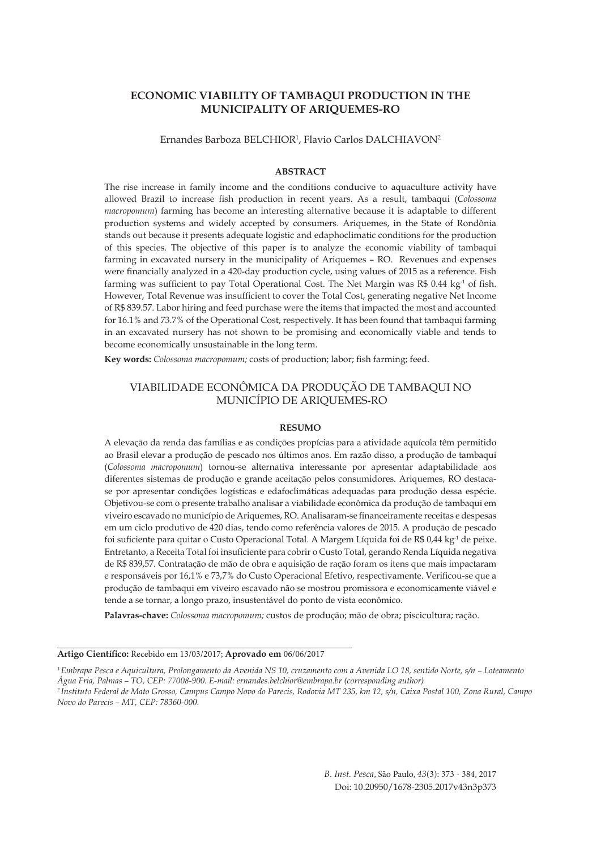## **ECONOMIC VIABILITY OF TAMBAQUI PRODUCTION IN THE MUNICIPALITY OF ARIQUEMES-RO**

Ernandes Barboza BELCHIOR<sup>1</sup>, Flavio Carlos DALCHIAVON<sup>2</sup>

### **ABSTRACT**

The rise increase in family income and the conditions conducive to aquaculture activity have allowed Brazil to increase fish production in recent years. As a result, tambaqui (*Colossoma macropomum*) farming has become an interesting alternative because it is adaptable to different production systems and widely accepted by consumers. Ariquemes, in the State of Rondônia stands out because it presents adequate logistic and edaphoclimatic conditions for the production of this species. The objective of this paper is to analyze the economic viability of tambaqui farming in excavated nursery in the municipality of Ariquemes – RO. Revenues and expenses were financially analyzed in a 420-day production cycle, using values of 2015 as a reference. Fish farming was sufficient to pay Total Operational Cost. The Net Margin was  $R$$  0.44 kg<sup>-1</sup> of fish. However, Total Revenue was insufficient to cover the Total Cost, generating negative Net Income of R\$ 839.57. Labor hiring and feed purchase were the items that impacted the most and accounted for 16.1% and 73.7% of the Operational Cost, respectively. It has been found that tambaqui farming in an excavated nursery has not shown to be promising and economically viable and tends to become economically unsustainable in the long term.

**Key words:** *Colossoma macropomum;* costs of production; labor; fish farming; feed.

### VIABILIDADE ECONÔMICA DA PRODUÇÃO DE TAMBAQUI NO MUNICÍPIO DE ARIQUEMES-RO

#### **RESUMO**

A elevação da renda das famílias e as condições propícias para a atividade aquícola têm permitido ao Brasil elevar a produção de pescado nos últimos anos. Em razão disso, a produção de tambaqui (*Colossoma macropomum*) tornou-se alternativa interessante por apresentar adaptabilidade aos diferentes sistemas de produção e grande aceitação pelos consumidores. Ariquemes, RO destacase por apresentar condições logísticas e edafoclimáticas adequadas para produção dessa espécie. Objetivou-se com o presente trabalho analisar a viabilidade econômica da produção de tambaqui em viveiro escavado no município de Ariquemes, RO. Analisaram-se financeiramente receitas e despesas em um ciclo produtivo de 420 dias, tendo como referência valores de 2015. A produção de pescado foi suficiente para quitar o Custo Operacional Total. A Margem Líquida foi de R\$ 0,44 kg<sup>-1</sup> de peixe. Entretanto, a Receita Total foi insuficiente para cobrir o Custo Total, gerando Renda Líquida negativa de R\$ 839,57. Contratação de mão de obra e aquisição de ração foram os itens que mais impactaram e responsáveis por 16,1% e 73,7% do Custo Operacional Efetivo, respectivamente. Verificou-se que a produção de tambaqui em viveiro escavado não se mostrou promissora e economicamente viável e tende a se tornar, a longo prazo, insustentável do ponto de vista econômico.

**Palavras-chave:** *Colossoma macropomum;* custos de produção; mão de obra; piscicultura; ração.

**Artigo Científico:** Recebido em 13/03/2017; **Aprovado em** 06/06/2017

*1 Embrapa Pesca e Aquicultura, Prolongamento da Avenida NS 10, cruzamento com a Avenida LO 18, sentido Norte, s/n – Loteamento Água Fria, Palmas – TO, CEP: 77008-900. E-mail: ernandes.belchior@embrapa.br (corresponding author)*

*2 Instituto Federal de Mato Grosso, Campus Campo Novo do Parecis, Rodovia MT 235, km 12, s/n, Caixa Postal 100, Zona Rural, Campo Novo do Parecis – MT, CEP: 78360-000.*

> *B. Inst. Pesca*, São Paulo, *43*(3): 373 - 384, 2017 Doi: 10.20950/1678-2305.2017v43n3p373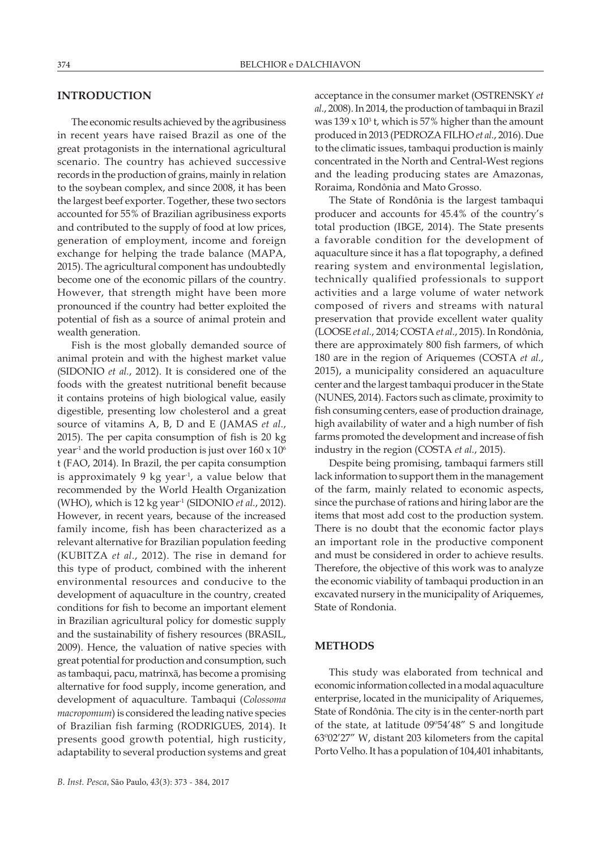### **INTRODUCTION**

The economic results achieved by the agribusiness in recent years have raised Brazil as one of the great protagonists in the international agricultural scenario. The country has achieved successive records in the production of grains, mainly in relation to the soybean complex, and since 2008, it has been the largest beef exporter. Together, these two sectors accounted for 55% of Brazilian agribusiness exports and contributed to the supply of food at low prices, generation of employment, income and foreign exchange for helping the trade balance (MAPA, 2015). The agricultural component has undoubtedly become one of the economic pillars of the country. However, that strength might have been more pronounced if the country had better exploited the potential of fish as a source of animal protein and wealth generation.

Fish is the most globally demanded source of animal protein and with the highest market value (SIDONIO *et al.*, 2012). It is considered one of the foods with the greatest nutritional benefit because it contains proteins of high biological value, easily digestible, presenting low cholesterol and a great source of vitamins A, B, D and E (JAMAS *et al.*, 2015). The per capita consumption of fish is 20 kg year<sup>-1</sup> and the world production is just over  $160 \times 10^6$ t (FAO, 2014). In Brazil, the per capita consumption is approximately 9 kg year-1, a value below that recommended by the World Health Organization (WHO), which is 12 kg year-1 (SIDONIO *et al.*, 2012). However, in recent years, because of the increased family income, fish has been characterized as a relevant alternative for Brazilian population feeding (KUBITZA *et al.*, 2012). The rise in demand for this type of product, combined with the inherent environmental resources and conducive to the development of aquaculture in the country, created conditions for fish to become an important element in Brazilian agricultural policy for domestic supply and the sustainability of fishery resources (BRASIL, 2009). Hence, the valuation of native species with great potential for production and consumption, such as tambaqui, pacu, matrinxã, has become a promising alternative for food supply, income generation, and development of aquaculture. Tambaqui (*Colossoma macropomum*) is considered the leading native species of Brazilian fish farming (RODRIGUES, 2014). It presents good growth potential, high rusticity, adaptability to several production systems and great acceptance in the consumer market (OSTRENSKY *et al.*, 2008). In 2014, the production of tambaqui in Brazil was  $139 \times 10^3$  t, which is 57% higher than the amount produced in 2013 (PEDROZA FILHO *et al.*, 2016). Due to the climatic issues, tambaqui production is mainly concentrated in the North and Central-West regions and the leading producing states are Amazonas, Roraima, Rondônia and Mato Grosso.

The State of Rondônia is the largest tambaqui producer and accounts for 45.4% of the country's total production (IBGE, 2014). The State presents a favorable condition for the development of aquaculture since it has a flat topography, a defined rearing system and environmental legislation, technically qualified professionals to support activities and a large volume of water network composed of rivers and streams with natural preservation that provide excellent water quality (LOOSE *et al.*, 2014; COSTA *et al.*, 2015). In Rondônia, there are approximately 800 fish farmers, of which 180 are in the region of Ariquemes (COSTA *et al.*, 2015), a municipality considered an aquaculture center and the largest tambaqui producer in the State (NUNES, 2014). Factors such as climate, proximity to fish consuming centers, ease of production drainage, high availability of water and a high number of fish farms promoted the development and increase of fish industry in the region (COSTA *et al.*, 2015).

Despite being promising, tambaqui farmers still lack information to support them in the management of the farm, mainly related to economic aspects, since the purchase of rations and hiring labor are the items that most add cost to the production system. There is no doubt that the economic factor plays an important role in the productive component and must be considered in order to achieve results. Therefore, the objective of this work was to analyze the economic viability of tambaqui production in an excavated nursery in the municipality of Ariquemes, State of Rondonia.

### **METHODS**

This study was elaborated from technical and economic information collected in a modal aquaculture enterprise, located in the municipality of Ariquemes, State of Rondônia. The city is in the center-north part of the state, at latitude 09º54'48" S and longitude 63º02'27" W, distant 203 kilometers from the capital Porto Velho. It has a population of 104,401 inhabitants,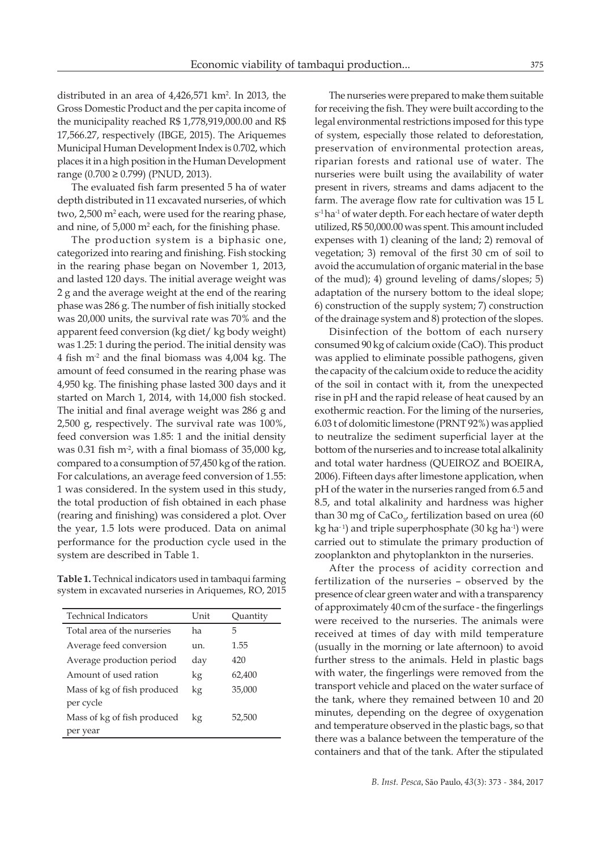distributed in an area of 4,426,571 km<sup>2</sup> . In 2013, the Gross Domestic Product and the per capita income of the municipality reached R\$ 1,778,919,000.00 and R\$ 17,566.27, respectively (IBGE, 2015). The Ariquemes Municipal Human Development Index is 0.702, which places it in a high position in the Human Development range (0.700 ≥ 0.799) (PNUD, 2013).

The evaluated fish farm presented 5 ha of water depth distributed in 11 excavated nurseries, of which two, 2,500 m<sup>2</sup> each, were used for the rearing phase, and nine, of 5,000  $m^2$  each, for the finishing phase.

The production system is a biphasic one, categorized into rearing and finishing. Fish stocking in the rearing phase began on November 1, 2013, and lasted 120 days. The initial average weight was 2 g and the average weight at the end of the rearing phase was 286 g. The number of fish initially stocked was 20,000 units, the survival rate was 70% and the apparent feed conversion (kg diet/ kg body weight) was 1.25: 1 during the period. The initial density was 4 fish m-2 and the final biomass was 4,004 kg. The amount of feed consumed in the rearing phase was 4,950 kg. The finishing phase lasted 300 days and it started on March 1, 2014, with 14,000 fish stocked. The initial and final average weight was 286 g and 2,500 g, respectively. The survival rate was 100%, feed conversion was 1.85: 1 and the initial density was 0.31 fish  $m<sup>2</sup>$ , with a final biomass of 35,000 kg, compared to a consumption of 57,450 kg of the ration. For calculations, an average feed conversion of 1.55: 1 was considered. In the system used in this study, the total production of fish obtained in each phase (rearing and finishing) was considered a plot. Over the year, 1.5 lots were produced. Data on animal performance for the production cycle used in the system are described in Table 1.

**Table 1.** Technical indicators used in tambaqui farming system in excavated nurseries in Ariquemes, RO, 2015

| <b>Technical Indicators</b> | Unit | Quantity |
|-----------------------------|------|----------|
| Total area of the nurseries | ha   | 5        |
| Average feed conversion     | un.  | 1.55     |
| Average production period   | day  | 420      |
| Amount of used ration       | kg   | 62,400   |
| Mass of kg of fish produced | kg   | 35,000   |
| per cycle                   |      |          |
| Mass of kg of fish produced | kg   | 52,500   |
| per year                    |      |          |

The nurseries were prepared to make them suitable for receiving the fish. They were built according to the legal environmental restrictions imposed for this type of system, especially those related to deforestation, preservation of environmental protection areas, riparian forests and rational use of water. The nurseries were built using the availability of water present in rivers, streams and dams adjacent to the farm. The average flow rate for cultivation was 15 L s<sup>-1</sup> ha<sup>-1</sup> of water depth. For each hectare of water depth utilized, R\$ 50,000.00 was spent. This amount included expenses with 1) cleaning of the land; 2) removal of vegetation; 3) removal of the first 30 cm of soil to avoid the accumulation of organic material in the base of the mud); 4) ground leveling of dams/slopes; 5) adaptation of the nursery bottom to the ideal slope; 6) construction of the supply system; 7) construction of the drainage system and 8) protection of the slopes.

Disinfection of the bottom of each nursery consumed 90 kg of calcium oxide (CaO). This product was applied to eliminate possible pathogens, given the capacity of the calcium oxide to reduce the acidity of the soil in contact with it, from the unexpected rise in pH and the rapid release of heat caused by an exothermic reaction. For the liming of the nurseries, 6.03 t of dolomitic limestone (PRNT 92%) was applied to neutralize the sediment superficial layer at the bottom of the nurseries and to increase total alkalinity and total water hardness (QUEIROZ and BOEIRA, 2006). Fifteen days after limestone application, when pH of the water in the nurseries ranged from 6.5 and 8.5, and total alkalinity and hardness was higher than 30 mg of  $CaCo<sub>3</sub>$ , fertilization based on urea (60 kg ha<sup>-1</sup>) and triple superphosphate  $(30 \text{ kg ha}^{-1})$  were carried out to stimulate the primary production of zooplankton and phytoplankton in the nurseries.

After the process of acidity correction and fertilization of the nurseries – observed by the presence of clear green water and with a transparency of approximately 40 cm of the surface - the fingerlings were received to the nurseries. The animals were received at times of day with mild temperature (usually in the morning or late afternoon) to avoid further stress to the animals. Held in plastic bags with water, the fingerlings were removed from the transport vehicle and placed on the water surface of the tank, where they remained between 10 and 20 minutes, depending on the degree of oxygenation and temperature observed in the plastic bags, so that there was a balance between the temperature of the containers and that of the tank. After the stipulated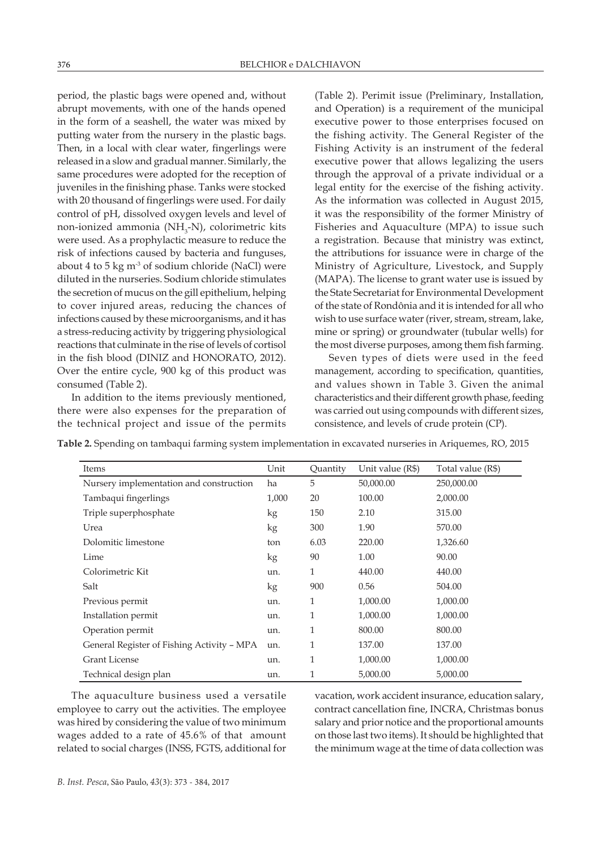period, the plastic bags were opened and, without abrupt movements, with one of the hands opened in the form of a seashell, the water was mixed by putting water from the nursery in the plastic bags. Then, in a local with clear water, fingerlings were released in a slow and gradual manner. Similarly, the same procedures were adopted for the reception of juveniles in the finishing phase. Tanks were stocked with 20 thousand of fingerlings were used. For daily control of pH, dissolved oxygen levels and level of non-ionized ammonia (NH<sub>3</sub>-N), colorimetric kits were used. As a prophylactic measure to reduce the risk of infections caused by bacteria and funguses, about 4 to 5 kg  $m<sup>3</sup>$  of sodium chloride (NaCl) were diluted in the nurseries. Sodium chloride stimulates the secretion of mucus on the gill epithelium, helping to cover injured areas, reducing the chances of infections caused by these microorganisms, and it has a stress-reducing activity by triggering physiological reactions that culminate in the rise of levels of cortisol in the fish blood (DINIZ and HONORATO, 2012). Over the entire cycle, 900 kg of this product was consumed (Table 2).

In addition to the items previously mentioned, there were also expenses for the preparation of the technical project and issue of the permits (Table 2). Perimit issue (Preliminary, Installation, and Operation) is a requirement of the municipal executive power to those enterprises focused on the fishing activity. The General Register of the Fishing Activity is an instrument of the federal executive power that allows legalizing the users through the approval of a private individual or a legal entity for the exercise of the fishing activity. As the information was collected in August 2015, it was the responsibility of the former Ministry of Fisheries and Aquaculture (MPA) to issue such a registration. Because that ministry was extinct, the attributions for issuance were in charge of the Ministry of Agriculture, Livestock, and Supply (MAPA). The license to grant water use is issued by the State Secretariat for Environmental Development of the state of Rondônia and it is intended for all who wish to use surface water (river, stream, stream, lake, mine or spring) or groundwater (tubular wells) for the most diverse purposes, among them fish farming.

Seven types of diets were used in the feed management, according to specification, quantities, and values shown in Table 3. Given the animal characteristics and their different growth phase, feeding was carried out using compounds with different sizes, consistence, and levels of crude protein (CP).

| Items                                      | Unit  | Quantity | Unit value (R\$) | Total value (R\$) |
|--------------------------------------------|-------|----------|------------------|-------------------|
| Nursery implementation and construction    | ha    | 5        | 50,000.00        | 250,000.00        |
| Tambaqui fingerlings                       | 1,000 | 20       | 100.00           | 2,000.00          |
| Triple superphosphate                      | kg    | 150      | 2.10             | 315.00            |
| Urea                                       | kg    | 300      | 1.90             | 570.00            |
| Dolomitic limestone                        | ton   | 6.03     | 220.00           | 1,326.60          |
| Lime                                       | kg    | 90       | 1.00             | 90.00             |
| Colorimetric Kit                           | un.   | 1        | 440.00           | 440.00            |
| Salt                                       | kg    | 900      | 0.56             | 504.00            |
| Previous permit                            | un.   | 1        | 1,000.00         | 1,000.00          |
| Installation permit                        | un.   | 1        | 1,000.00         | 1,000.00          |
| Operation permit                           | un.   | 1        | 800.00           | 800.00            |
| General Register of Fishing Activity - MPA | un.   | 1        | 137.00           | 137.00            |
| <b>Grant License</b>                       | un.   | 1        | 1,000.00         | 1,000.00          |
| Technical design plan                      | un.   | 1        | 5,000.00         | 5,000.00          |

**Table 2.** Spending on tambaqui farming system implementation in excavated nurseries in Ariquemes, RO, 2015

The aquaculture business used a versatile employee to carry out the activities. The employee was hired by considering the value of two minimum wages added to a rate of 45.6% of that amount related to social charges (INSS, FGTS, additional for vacation, work accident insurance, education salary, contract cancellation fine, INCRA, Christmas bonus salary and prior notice and the proportional amounts on those last two items). It should be highlighted that the minimum wage at the time of data collection was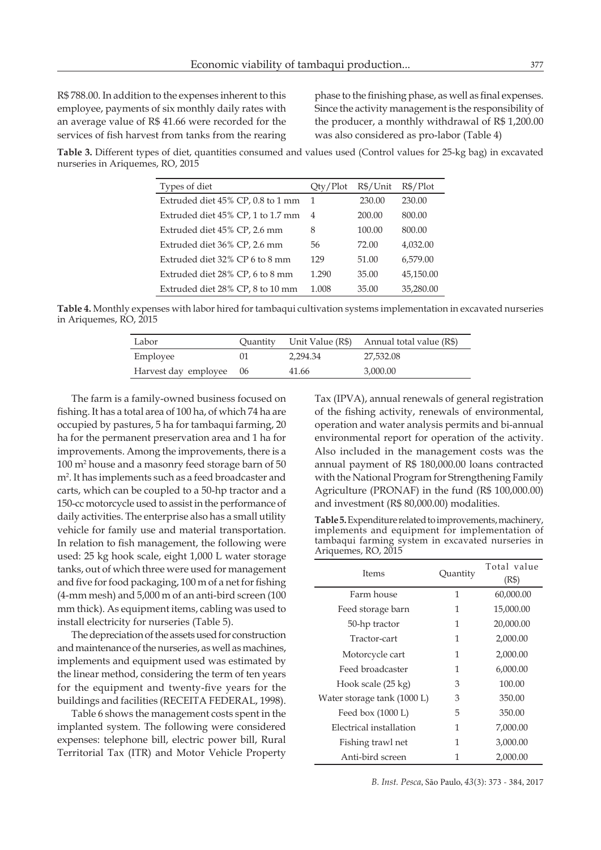R\$ 788.00. In addition to the expenses inherent to this employee, payments of six monthly daily rates with an average value of R\$ 41.66 were recorded for the services of fish harvest from tanks from the rearing phase to the finishing phase, as well as final expenses. Since the activity management is the responsibility of the producer, a monthly withdrawal of R\$ 1,200.00 was also considered as pro-labor (Table 4)

**Table 3.** Different types of diet, quantities consumed and values used (Control values for 25-kg bag) in excavated nurseries in Ariquemes, RO, 2015

| Types of diet                     | Qty/Plot | R\$/Unit | $R\$/Plot$ |
|-----------------------------------|----------|----------|------------|
| Extruded diet 45% CP, 0.8 to 1 mm | -1       | 230.00   | 230.00     |
| Extruded diet 45% CP, 1 to 1.7 mm | 4        | 200.00   | 800.00     |
| Extruded diet 45% CP, 2.6 mm      | 8        | 100.00   | 800.00     |
| Extruded diet 36% CP, 2.6 mm      | 56       | 72.00    | 4,032.00   |
| Extruded diet 32% CP 6 to 8 mm    | 129      | 51.00    | 6,579.00   |
| Extruded diet 28% CP, 6 to 8 mm   | 1.290    | 35.00    | 45,150.00  |
| Extruded diet 28% CP, 8 to 10 mm  | 1.008    | 35.00    | 35,280.00  |

**Table 4.** Monthly expenses with labor hired for tambaqui cultivation systems implementation in excavated nurseries in Ariquemes, RO, 2015

| Labor                   | Quantity |          | Unit Value (R\$) Annual total value (R\$) |
|-------------------------|----------|----------|-------------------------------------------|
| Employee                |          | 2.294.34 | 27,532.08                                 |
| Harvest day employee 06 |          | 41.66    | 3.000.00                                  |

The farm is a family-owned business focused on fishing. It has a total area of 100 ha, of which 74 ha are occupied by pastures, 5 ha for tambaqui farming, 20 ha for the permanent preservation area and 1 ha for improvements. Among the improvements, there is a 100 m2 house and a masonry feed storage barn of 50 m2 . It has implements such as a feed broadcaster and carts, which can be coupled to a 50-hp tractor and a 150-cc motorcycle used to assist in the performance of daily activities. The enterprise also has a small utility vehicle for family use and material transportation. In relation to fish management, the following were used: 25 kg hook scale, eight 1,000 L water storage tanks, out of which three were used for management and five for food packaging, 100 m of a net for fishing (4-mm mesh) and 5,000 m of an anti-bird screen (100 mm thick). As equipment items, cabling was used to install electricity for nurseries (Table 5).

The depreciation of the assets used for construction and maintenance of the nurseries, as well as machines, implements and equipment used was estimated by the linear method, considering the term of ten years for the equipment and twenty-five years for the buildings and facilities (RECEITA FEDERAL, 1998).

Table 6 shows the management costs spent in the implanted system. The following were considered expenses: telephone bill, electric power bill, Rural Territorial Tax (ITR) and Motor Vehicle Property Tax (IPVA), annual renewals of general registration of the fishing activity, renewals of environmental, operation and water analysis permits and bi-annual environmental report for operation of the activity. Also included in the management costs was the annual payment of R\$ 180,000.00 loans contracted with the National Program for Strengthening Family Agriculture (PRONAF) in the fund (R\$ 100,000.00) and investment (R\$ 80,000.00) modalities.

**Table 5.** Expenditure related to improvements, machinery, implements and equipment for implementation of tambaqui farming system in excavated nurseries in Ariquemes, RO, 2015

| <b>Items</b>                | Quantity | Total value |
|-----------------------------|----------|-------------|
|                             |          | (R\$)       |
| Farm house                  | 1        | 60,000.00   |
| Feed storage barn           | 1        | 15,000.00   |
| 50-hp tractor               | 1        | 20,000.00   |
| Tractor-cart                | 1        | 2,000.00    |
| Motorcycle cart             | 1        | 2,000.00    |
| Feed broadcaster            | 1        | 6,000.00    |
| Hook scale (25 kg)          | 3        | 100.00      |
| Water storage tank (1000 L) | 3        | 350.00      |
| Feed box $(1000 L)$         | 5        | 350.00      |
| Electrical installation     | 1        | 7,000.00    |
| Fishing trawl net           | 1        | 3,000.00    |
| Anti-bird screen            | 1        | 2,000.00    |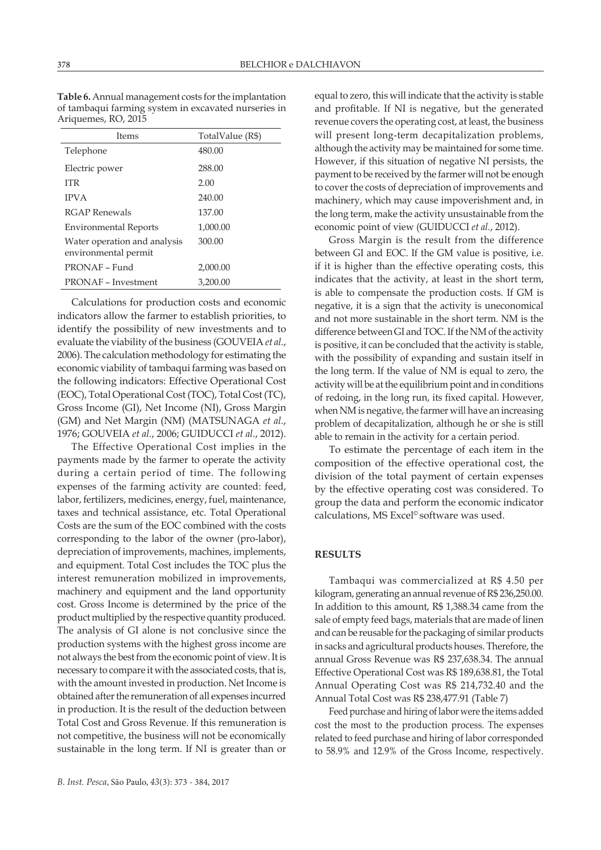**Table 6.** Annual management costs for the implantation of tambaqui farming system in excavated nurseries in Ariquemes, RO, 2015

| <b>Items</b>                                         | TotalValue (R\$) |
|------------------------------------------------------|------------------|
| Telephone                                            | 480.00           |
| Electric power                                       | 288.00           |
| <b>ITR</b>                                           | 2.00             |
| <b>IPVA</b>                                          | 240.00           |
| RGAP Renewals                                        | 137.00           |
| <b>Environmental Reports</b>                         | 1.000.00         |
| Water operation and analysis<br>environmental permit | 300.00           |
| PRONAF - Fund                                        | 2,000.00         |
| <b>PRONAF</b> - Investment                           | 3,200,00         |

Calculations for production costs and economic indicators allow the farmer to establish priorities, to identify the possibility of new investments and to evaluate the viability of the business (GOUVEIA *et al.*, 2006). The calculation methodology for estimating the economic viability of tambaqui farming was based on the following indicators: Effective Operational Cost (EOC), Total Operational Cost (TOC), Total Cost (TC), Gross Income (GI), Net Income (NI), Gross Margin (GM) and Net Margin (NM) (MATSUNAGA *et al.*, 1976; GOUVEIA *et al.*, 2006; GUIDUCCI *et al.*, 2012).

The Effective Operational Cost implies in the payments made by the farmer to operate the activity during a certain period of time. The following expenses of the farming activity are counted: feed, labor, fertilizers, medicines, energy, fuel, maintenance, taxes and technical assistance, etc. Total Operational Costs are the sum of the EOC combined with the costs corresponding to the labor of the owner (pro-labor), depreciation of improvements, machines, implements, and equipment. Total Cost includes the TOC plus the interest remuneration mobilized in improvements, machinery and equipment and the land opportunity cost. Gross Income is determined by the price of the product multiplied by the respective quantity produced. The analysis of GI alone is not conclusive since the production systems with the highest gross income are not always the best from the economic point of view. It is necessary to compare it with the associated costs, that is, with the amount invested in production. Net Income is obtained after the remuneration of all expenses incurred in production. It is the result of the deduction between Total Cost and Gross Revenue. If this remuneration is not competitive, the business will not be economically sustainable in the long term. If NI is greater than or

equal to zero, this will indicate that the activity is stable and profitable. If NI is negative, but the generated revenue covers the operating cost, at least, the business will present long-term decapitalization problems, although the activity may be maintained for some time. However, if this situation of negative NI persists, the payment to be received by the farmer will not be enough to cover the costs of depreciation of improvements and machinery, which may cause impoverishment and, in the long term, make the activity unsustainable from the economic point of view (GUIDUCCI *et al.*, 2012).

Gross Margin is the result from the difference between GI and EOC. If the GM value is positive, i.e. if it is higher than the effective operating costs, this indicates that the activity, at least in the short term, is able to compensate the production costs. If GM is negative, it is a sign that the activity is uneconomical and not more sustainable in the short term. NM is the difference between GI and TOC. If the NM of the activity is positive, it can be concluded that the activity is stable, with the possibility of expanding and sustain itself in the long term. If the value of NM is equal to zero, the activity will be at the equilibrium point and in conditions of redoing, in the long run, its fixed capital. However, when NM is negative, the farmer will have an increasing problem of decapitalization, although he or she is still able to remain in the activity for a certain period.

To estimate the percentage of each item in the composition of the effective operational cost, the division of the total payment of certain expenses by the effective operating cost was considered. To group the data and perform the economic indicator calculations, MS Excel© software was used.

#### **RESULTS**

Tambaqui was commercialized at R\$ 4.50 per kilogram, generating an annual revenue of R\$ 236,250.00. In addition to this amount, R\$ 1,388.34 came from the sale of empty feed bags, materials that are made of linen and can be reusable for the packaging of similar products in sacks and agricultural products houses. Therefore, the annual Gross Revenue was R\$ 237,638.34. The annual Effective Operational Cost was R\$ 189,638.81, the Total Annual Operating Cost was R\$ 214,732.40 and the Annual Total Cost was R\$ 238,477.91 (Table 7)

Feed purchase and hiring of labor were the items added cost the most to the production process. The expenses related to feed purchase and hiring of labor corresponded to 58.9% and 12.9% of the Gross Income, respectively.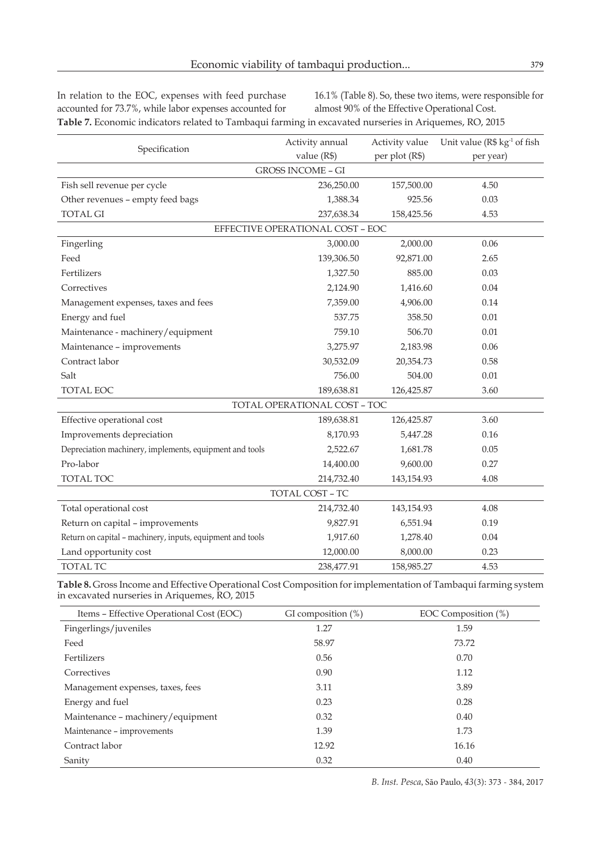In relation to the EOC, expenses with feed purchase accounted for 73.7%, while labor expenses accounted for

16.1% (Table 8). So, these two items, were responsible for almost 90% of the Effective Operational Cost.

**Table 7.** Economic indicators related to Tambaqui farming in excavated nurseries in Ariquemes, RO, 2015

| Specification                                              | Activity annual                  | Activity value | Unit value (R\$ kg <sup>-1</sup> of fish |  |
|------------------------------------------------------------|----------------------------------|----------------|------------------------------------------|--|
|                                                            | value (R\$)                      | per plot (R\$) | per year)                                |  |
|                                                            | <b>GROSS INCOME - GI</b>         |                |                                          |  |
| Fish sell revenue per cycle                                | 236,250.00                       | 157,500.00     | 4.50                                     |  |
| Other revenues - empty feed bags                           | 1,388.34                         | 925.56         | 0.03                                     |  |
| <b>TOTAL GI</b>                                            | 237,638.34                       | 158,425.56     | 4.53                                     |  |
|                                                            | EFFECTIVE OPERATIONAL COST - EOC |                |                                          |  |
| Fingerling                                                 | 3,000.00                         | 2,000.00       | 0.06                                     |  |
| Feed                                                       | 139,306.50                       | 92,871.00      | 2.65                                     |  |
| Fertilizers                                                | 1,327.50                         | 885.00         | 0.03                                     |  |
| Correctives                                                | 2,124.90                         | 1,416.60       | 0.04                                     |  |
| Management expenses, taxes and fees                        | 7,359.00                         | 4,906.00       | 0.14                                     |  |
| Energy and fuel                                            | 537.75                           | 358.50         | 0.01                                     |  |
| Maintenance - machinery/equipment                          | 759.10                           | 506.70         | 0.01                                     |  |
| Maintenance - improvements                                 | 3,275.97                         | 2,183.98       | 0.06                                     |  |
| Contract labor                                             | 30,532.09                        | 20,354.73      | 0.58                                     |  |
| Salt                                                       | 756.00                           | 504.00         | 0.01                                     |  |
| TOTAL EOC                                                  | 189,638.81                       | 126,425.87     | 3.60                                     |  |
|                                                            | TOTAL OPERATIONAL COST - TOC     |                |                                          |  |
| Effective operational cost                                 | 189,638.81                       | 126,425.87     | 3.60                                     |  |
| Improvements depreciation                                  | 8,170.93                         | 5,447.28       | 0.16                                     |  |
| Depreciation machinery, implements, equipment and tools    | 2,522.67                         | 1,681.78       | 0.05                                     |  |
| Pro-labor                                                  | 14,400.00                        | 9,600.00       | 0.27                                     |  |
| TOTAL TOC                                                  | 214,732.40                       | 143,154.93     | 4.08                                     |  |
| TOTAL COST - TC                                            |                                  |                |                                          |  |
| Total operational cost                                     | 214,732.40                       | 143,154.93     | 4.08                                     |  |
| Return on capital - improvements                           | 9,827.91                         | 6,551.94       | 0.19                                     |  |
| Return on capital - machinery, inputs, equipment and tools | 1,917.60                         | 1,278.40       | 0.04                                     |  |
| Land opportunity cost                                      | 12,000.00                        | 8,000.00       | 0.23                                     |  |
| <b>TOTAL TC</b>                                            | 238,477.91                       | 158,985.27     | 4.53                                     |  |

**Table 8.** Gross Income and Effective Operational Cost Composition for implementation of Tambaqui farming system in excavated nurseries in Ariquemes, RO, 2015

| Items - Effective Operational Cost (EOC) | GI composition $(\%)$ | EOC Composition (%) |
|------------------------------------------|-----------------------|---------------------|
| Fingerlings/juveniles                    | 1.27                  | 1.59                |
| Feed                                     | 58.97                 | 73.72               |
| Fertilizers                              | 0.56                  | 0.70                |
| Correctives                              | 0.90                  | 1.12                |
| Management expenses, taxes, fees         | 3.11                  | 3.89                |
| Energy and fuel                          | 0.23                  | 0.28                |
| Maintenance - machinery/equipment        | 0.32                  | 0.40                |
| Maintenance - improvements               | 1.39                  | 1.73                |
| Contract labor                           | 12.92                 | 16.16               |
| Sanity                                   | 0.32                  | 0.40                |

*B. Inst. Pesca*, São Paulo, *43*(3): 373 - 384, 2017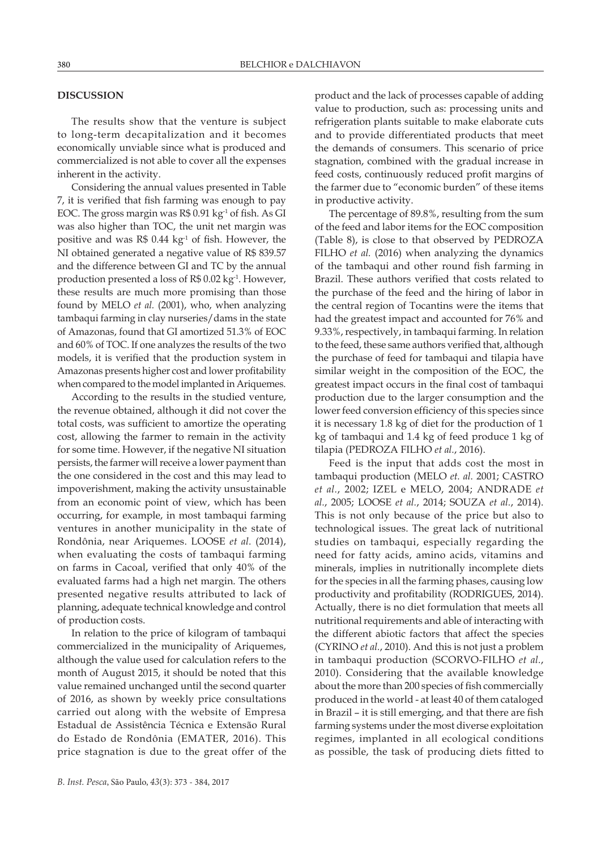### **DISCUSSION**

The results show that the venture is subject to long-term decapitalization and it becomes economically unviable since what is produced and commercialized is not able to cover all the expenses inherent in the activity.

Considering the annual values presented in Table 7, it is verified that fish farming was enough to pay EOC. The gross margin was R\$ 0.91 kg<sup>-1</sup> of fish. As GI was also higher than TOC, the unit net margin was positive and was  $R\$  0.44 kg<sup>-1</sup> of fish. However, the NI obtained generated a negative value of R\$ 839.57 and the difference between GI and TC by the annual production presented a loss of  $R$$  0.02 kg<sup>-1</sup>. However, these results are much more promising than those found by MELO *et al.* (2001), who, when analyzing tambaqui farming in clay nurseries/dams in the state of Amazonas, found that GI amortized 51.3% of EOC and 60% of TOC. If one analyzes the results of the two models, it is verified that the production system in Amazonas presents higher cost and lower profitability when compared to the model implanted in Ariquemes.

According to the results in the studied venture, the revenue obtained, although it did not cover the total costs, was sufficient to amortize the operating cost, allowing the farmer to remain in the activity for some time. However, if the negative NI situation persists, the farmer will receive a lower payment than the one considered in the cost and this may lead to impoverishment, making the activity unsustainable from an economic point of view, which has been occurring, for example, in most tambaqui farming ventures in another municipality in the state of Rondônia, near Ariquemes. LOOSE *et al.* (2014), when evaluating the costs of tambaqui farming on farms in Cacoal, verified that only 40% of the evaluated farms had a high net margin. The others presented negative results attributed to lack of planning, adequate technical knowledge and control of production costs.

In relation to the price of kilogram of tambaqui commercialized in the municipality of Ariquemes, although the value used for calculation refers to the month of August 2015, it should be noted that this value remained unchanged until the second quarter of 2016, as shown by weekly price consultations carried out along with the website of Empresa Estadual de Assistência Técnica e Extensão Rural do Estado de Rondônia (EMATER, 2016). This price stagnation is due to the great offer of the

product and the lack of processes capable of adding value to production, such as: processing units and refrigeration plants suitable to make elaborate cuts and to provide differentiated products that meet the demands of consumers. This scenario of price stagnation, combined with the gradual increase in feed costs, continuously reduced profit margins of the farmer due to "economic burden" of these items in productive activity.

The percentage of 89.8%, resulting from the sum of the feed and labor items for the EOC composition (Table 8), is close to that observed by PEDROZA FILHO *et al.* (2016) when analyzing the dynamics of the tambaqui and other round fish farming in Brazil. These authors verified that costs related to the purchase of the feed and the hiring of labor in the central region of Tocantins were the items that had the greatest impact and accounted for 76% and 9.33%, respectively, in tambaqui farming. In relation to the feed, these same authors verified that, although the purchase of feed for tambaqui and tilapia have similar weight in the composition of the EOC, the greatest impact occurs in the final cost of tambaqui production due to the larger consumption and the lower feed conversion efficiency of this species since it is necessary 1.8 kg of diet for the production of 1 kg of tambaqui and 1.4 kg of feed produce 1 kg of tilapia (PEDROZA FILHO *et al.*, 2016).

Feed is the input that adds cost the most in tambaqui production (MELO *et. al.* 2001; CASTRO *et al.*, 2002; IZEL e MELO, 2004; ANDRADE *et al.*, 2005; LOOSE *et al.*, 2014; SOUZA *et al.*, 2014). This is not only because of the price but also to technological issues. The great lack of nutritional studies on tambaqui, especially regarding the need for fatty acids, amino acids, vitamins and minerals, implies in nutritionally incomplete diets for the species in all the farming phases, causing low productivity and profitability (RODRIGUES, 2014). Actually, there is no diet formulation that meets all nutritional requirements and able of interacting with the different abiotic factors that affect the species (CYRINO *et al.*, 2010). And this is not just a problem in tambaqui production (SCORVO-FILHO *et al.*, 2010). Considering that the available knowledge about the more than 200 species of fish commercially produced in the world - at least 40 of them cataloged in Brazil – it is still emerging, and that there are fish farming systems under the most diverse exploitation regimes, implanted in all ecological conditions as possible, the task of producing diets fitted to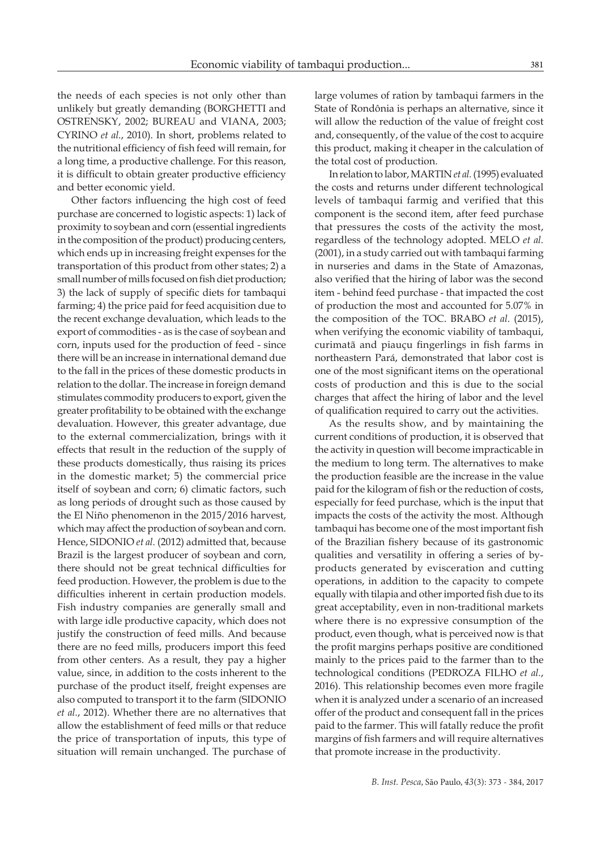the needs of each species is not only other than unlikely but greatly demanding (BORGHETTI and OSTRENSKY, 2002; BUREAU and VIANA, 2003; CYRINO *et al.*, 2010). In short, problems related to the nutritional efficiency of fish feed will remain, for a long time, a productive challenge. For this reason, it is difficult to obtain greater productive efficiency and better economic yield.

Other factors influencing the high cost of feed purchase are concerned to logistic aspects: 1) lack of proximity to soybean and corn (essential ingredients in the composition of the product) producing centers, which ends up in increasing freight expenses for the transportation of this product from other states; 2) a small number of mills focused on fish diet production; 3) the lack of supply of specific diets for tambaqui farming; 4) the price paid for feed acquisition due to the recent exchange devaluation, which leads to the export of commodities - as is the case of soybean and corn, inputs used for the production of feed - since there will be an increase in international demand due to the fall in the prices of these domestic products in relation to the dollar. The increase in foreign demand stimulates commodity producers to export, given the greater profitability to be obtained with the exchange devaluation. However, this greater advantage, due to the external commercialization, brings with it effects that result in the reduction of the supply of these products domestically, thus raising its prices in the domestic market; 5) the commercial price itself of soybean and corn; 6) climatic factors, such as long periods of drought such as those caused by the El Niño phenomenon in the 2015/2016 harvest, which may affect the production of soybean and corn. Hence, SIDONIO *et al.* (2012) admitted that, because Brazil is the largest producer of soybean and corn, there should not be great technical difficulties for feed production. However, the problem is due to the difficulties inherent in certain production models. Fish industry companies are generally small and with large idle productive capacity, which does not justify the construction of feed mills. And because there are no feed mills, producers import this feed from other centers. As a result, they pay a higher value, since, in addition to the costs inherent to the purchase of the product itself, freight expenses are also computed to transport it to the farm (SIDONIO *et al.*, 2012). Whether there are no alternatives that allow the establishment of feed mills or that reduce the price of transportation of inputs, this type of situation will remain unchanged. The purchase of

large volumes of ration by tambaqui farmers in the State of Rondônia is perhaps an alternative, since it will allow the reduction of the value of freight cost and, consequently, of the value of the cost to acquire this product, making it cheaper in the calculation of the total cost of production.

In relation to labor, MARTIN *et al.* (1995) evaluated the costs and returns under different technological levels of tambaqui farmig and verified that this component is the second item, after feed purchase that pressures the costs of the activity the most, regardless of the technology adopted. MELO *et al.* (2001), in a study carried out with tambaqui farming in nurseries and dams in the State of Amazonas, also verified that the hiring of labor was the second item - behind feed purchase - that impacted the cost of production the most and accounted for 5.07% in the composition of the TOC. BRABO *et al.* (2015), when verifying the economic viability of tambaqui, curimatã and piauçu fingerlings in fish farms in northeastern Pará, demonstrated that labor cost is one of the most significant items on the operational costs of production and this is due to the social charges that affect the hiring of labor and the level of qualification required to carry out the activities.

As the results show, and by maintaining the current conditions of production, it is observed that the activity in question will become impracticable in the medium to long term. The alternatives to make the production feasible are the increase in the value paid for the kilogram of fish or the reduction of costs, especially for feed purchase, which is the input that impacts the costs of the activity the most. Although tambaqui has become one of the most important fish of the Brazilian fishery because of its gastronomic qualities and versatility in offering a series of byproducts generated by evisceration and cutting operations, in addition to the capacity to compete equally with tilapia and other imported fish due to its great acceptability, even in non-traditional markets where there is no expressive consumption of the product, even though, what is perceived now is that the profit margins perhaps positive are conditioned mainly to the prices paid to the farmer than to the technological conditions (PEDROZA FILHO *et al.*, 2016). This relationship becomes even more fragile when it is analyzed under a scenario of an increased offer of the product and consequent fall in the prices paid to the farmer. This will fatally reduce the profit margins of fish farmers and will require alternatives that promote increase in the productivity.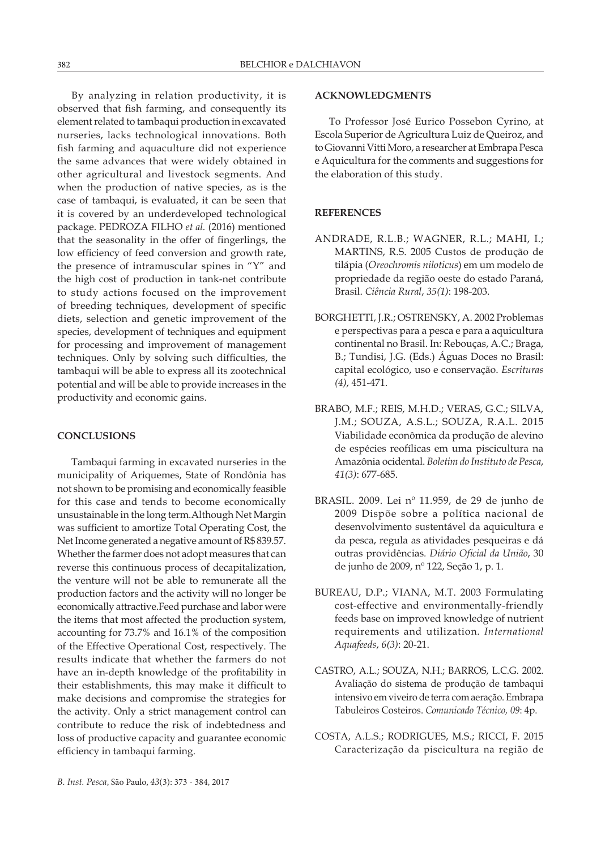By analyzing in relation productivity, it is observed that fish farming, and consequently its element related to tambaqui production in excavated nurseries, lacks technological innovations. Both fish farming and aquaculture did not experience the same advances that were widely obtained in other agricultural and livestock segments. And when the production of native species, as is the case of tambaqui, is evaluated, it can be seen that it is covered by an underdeveloped technological package. PEDROZA FILHO *et al.* (2016) mentioned that the seasonality in the offer of fingerlings, the low efficiency of feed conversion and growth rate, the presence of intramuscular spines in "Y" and the high cost of production in tank-net contribute to study actions focused on the improvement of breeding techniques, development of specific diets, selection and genetic improvement of the species, development of techniques and equipment for processing and improvement of management techniques. Only by solving such difficulties, the tambaqui will be able to express all its zootechnical potential and will be able to provide increases in the productivity and economic gains.

### **CONCLUSIONS**

Tambaqui farming in excavated nurseries in the municipality of Ariquemes, State of Rondônia has not shown to be promising and economically feasible for this case and tends to become economically unsustainable in the long term.Although Net Margin was sufficient to amortize Total Operating Cost, the Net Income generated a negative amount of R\$ 839.57. Whether the farmer does not adopt measures that can reverse this continuous process of decapitalization, the venture will not be able to remunerate all the production factors and the activity will no longer be economically attractive.Feed purchase and labor were the items that most affected the production system, accounting for 73.7% and 16.1% of the composition of the Effective Operational Cost, respectively. The results indicate that whether the farmers do not have an in-depth knowledge of the profitability in their establishments, this may make it difficult to make decisions and compromise the strategies for the activity. Only a strict management control can contribute to reduce the risk of indebtedness and loss of productive capacity and guarantee economic efficiency in tambaqui farming.

### **ACKNOWLEDGMENTS**

To Professor José Eurico Possebon Cyrino, at Escola Superior de Agricultura Luiz de Queiroz, and to Giovanni Vitti Moro, a researcher at Embrapa Pesca e Aquicultura for the comments and suggestions for the elaboration of this study.

# **REFERENCES**

- ANDRADE, R.L.B.; WAGNER, R.L.; MAHI, I.; MARTINS, R.S. 2005 Custos de produção de tilápia (*Oreochromis niloticus*) em um modelo de propriedade da região oeste do estado Paraná, Brasil. *Ciência Rural*, *35(1)*: 198-203.
- BORGHETTI, J.R.; OSTRENSKY, A. 2002 Problemas e perspectivas para a pesca e para a aquicultura continental no Brasil. In: Rebouças, A.C.; Braga, B.; Tundisi, J.G. (Eds.) Águas Doces no Brasil: capital ecológico, uso e conservação. *Escrituras (4)*, 451-471.
- BRABO, M.F.; REIS, M.H.D.; VERAS, G.C.; SILVA, J.M.; SOUZA, A.S.L.; SOUZA, R.A.L. 2015 Viabilidade econômica da produção de alevino de espécies reofílicas em uma piscicultura na Amazônia ocidental. *Boletim do Instituto de Pesca*, *41(3)*: 677-685.
- BRASIL. 2009. Lei nº 11.959, de 29 de junho de 2009 Dispõe sobre a política nacional de desenvolvimento sustentável da aquicultura e da pesca, regula as atividades pesqueiras e dá outras providências*. Diário Oficial da União*, 30 de junho de 2009, nº 122, Seção 1, p. 1.
- BUREAU, D.P.; VIANA, M.T. 2003 Formulating cost-effective and environmentally-friendly feeds base on improved knowledge of nutrient requirements and utilization. *International Aquafeeds*, *6(3)*: 20-21.
- CASTRO, A.L.; SOUZA, N.H.; BARROS, L.C.G. 2002. Avaliação do sistema de produção de tambaqui intensivo em viveiro de terra com aeração. Embrapa Tabuleiros Costeiros. *Comunicado Técnico, 09*: 4p.
- COSTA, A.L.S.; RODRIGUES, M.S.; RICCI, F. 2015 Caracterização da piscicultura na região de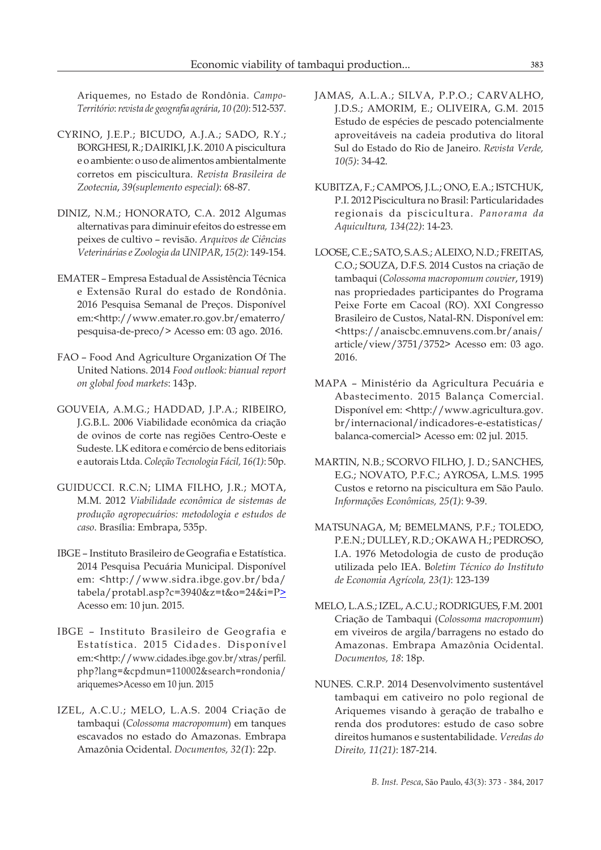Ariquemes, no Estado de Rondônia. *Campo-Território*: *revista de geografia agrária*, *10 (20)*: 512-537.

- CYRINO, J.E.P.; BICUDO, A.J.A.; SADO, R.Y.; BORGHESI, R.; DAIRIKI, J.K. 2010 A piscicultura e o ambiente: o uso de alimentos ambientalmente corretos em piscicultura. *Revista Brasileira de Zootecnia*, *39(suplemento especial)*: 68-87.
- DINIZ, N.M.; HONORATO, C.A. 2012 Algumas alternativas para diminuir efeitos do estresse em peixes de cultivo – revisão. *Arquivos de Ciências Veterinárias e Zoologia da UNIPAR*, *15(2)*: 149-154.
- EMATER Empresa Estadual de Assistência Técnica e Extensão Rural do estado de Rondônia. 2016 Pesquisa Semanal de Preços. Disponível em:<http://www.emater.ro.gov.br/ematerro/ pesquisa-de-preco/> Acesso em: 03 ago. 2016.
- FAO Food And Agriculture Organization Of The United Nations. 2014 *Food outlook: bianual report on global food markets*: 143p.
- GOUVEIA, A.M.G.; HADDAD, J.P.A.; RIBEIRO, J.G.B.L. 2006 Viabilidade econômica da criação de ovinos de corte nas regiões Centro-Oeste e Sudeste. LK editora e comércio de bens editoriais e autorais Ltda. *Coleção Tecnologia Fácil, 16(1)*: 50p.
- GUIDUCCI. R.C.N; LIMA FILHO, J.R.; MOTA, M.M. 2012 *Viabilidade econômica de sistemas de produção agropecuários: metodologia e estudos de caso*. Brasília: Embrapa, 535p.
- IBGE Instituto Brasileiro de Geografia e Estatística. 2014 Pesquisa Pecuária Municipal. Disponível em: <http://www.sidra.ibge.gov.br/bda/ tabela/protabl.asp?c=3940&z=t&o=24&i=P> Acesso em: 10 jun. 2015.
- IBGE Instituto Brasileiro de Geografia e Estatística. 2015 Cidades. Disponível em:<http://www.cidades.ibge.gov.br/xtras/perfil. php?lang=&cpdmun=110002&search=rondonia/ ariquemes>Acesso em 10 jun. 2015
- IZEL, A.C.U.; MELO, L.A.S. 2004 Criação de tambaqui (*Colossoma macropomum*) em tanques escavados no estado do Amazonas. Embrapa Amazônia Ocidental. *Documentos, 32(1*): 22p.
- JAMAS, A.L.A.; SILVA, P.P.O.; CARVALHO, J.D.S.; AMORIM, E.; OLIVEIRA, G.M. 2015 Estudo de espécies de pescado potencialmente aproveitáveis na cadeia produtiva do litoral Sul do Estado do Rio de Janeiro. *Revista Verde, 10(5)*: 34-42.
- KUBITZA, F.; CAMPOS, J.L.; ONO, E.A.; ISTCHUK, P.I. 2012 Piscicultura no Brasil: Particularidades regionais da piscicultura. *Panorama da Aquicultura, 134(22)*: 14-23.
- LOOSE, C.E.; SATO, S.A.S.; ALEIXO, N.D.; FREITAS, C.O.; SOUZA, D.F.S. 2014 Custos na criação de tambaqui (*Colossoma macropomum couvier*, 1919) nas propriedades participantes do Programa Peixe Forte em Cacoal (RO). XXI Congresso Brasileiro de Custos, Natal-RN. Disponível em: <https://anaiscbc.emnuvens.com.br/anais/ article/view/3751/3752> Acesso em: 03 ago. 2016.
- MAPA Ministério da Agricultura Pecuária e Abastecimento. 2015 Balança Comercial. Disponível em: <http://www.agricultura.gov. br/internacional/indicadores-e-estatisticas/ balanca-comercial> Acesso em: 02 jul. 2015.
- MARTIN, N.B.; SCORVO FILHO, J. D.; SANCHES, E.G.; NOVATO, P.F.C.; AYROSA, L.M.S. 1995 Custos e retorno na piscicultura em São Paulo. *Informações Econômicas, 25(1)*: 9-39.
- MATSUNAGA, M; BEMELMANS, P.F.; TOLEDO, P.E.N.; DULLEY, R.D.; OKAWA H.; PEDROSO, I.A. 1976 Metodologia de custo de produção utilizada pelo IEA. B*oletim Técnico do Instituto de Economia Agrícola, 23(1)*: 123-139
- MELO, L.A.S.; IZEL, A.C.U.; RODRIGUES, F.M. 2001 Criação de Tambaqui (*Colossoma macropomum*) em viveiros de argila/barragens no estado do Amazonas. Embrapa Amazônia Ocidental. *Documentos, 18*: 18p.
- NUNES. C.R.P. 2014 Desenvolvimento sustentável tambaqui em cativeiro no polo regional de Ariquemes visando à geração de trabalho e renda dos produtores: estudo de caso sobre direitos humanos e sustentabilidade. *Veredas do Direito, 11(21)*: 187-214.